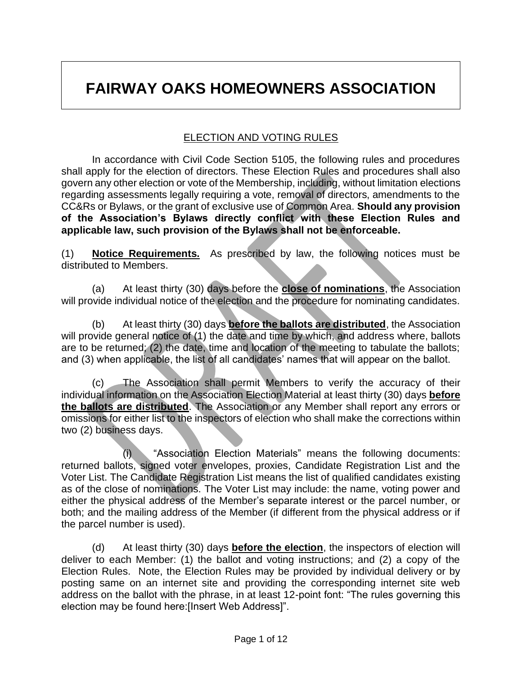# **FAIRWAY OAKS HOMEOWNERS ASSOCIATION**

#### ELECTION AND VOTING RULES

In accordance with Civil Code Section 5105, the following rules and procedures shall apply for the election of directors. These Election Rules and procedures shall also govern any other election or vote of the Membership, including, without limitation elections regarding assessments legally requiring a vote, removal of directors, amendments to the CC&Rs or Bylaws, or the grant of exclusive use of Common Area. **Should any provision of the Association's Bylaws directly conflict with these Election Rules and applicable law, such provision of the Bylaws shall not be enforceable.**

(1) **Notice Requirements.** As prescribed by law, the following notices must be distributed to Members.

(a) At least thirty (30) days before the **close of nominations**, the Association will provide individual notice of the election and the procedure for nominating candidates.

(b) At least thirty (30) days **before the ballots are distributed**, the Association will provide general notice of (1) the date and time by which, and address where, ballots are to be returned; (2) the date, time and location of the meeting to tabulate the ballots; and (3) when applicable, the list of all candidates' names that will appear on the ballot.

(c) The Association shall permit Members to verify the accuracy of their individual information on the Association Election Material at least thirty (30) days **before the ballots are distributed**. The Association or any Member shall report any errors or omissions for either list to the inspectors of election who shall make the corrections within two (2) business days.

(i) "Association Election Materials" means the following documents: returned ballots, signed voter envelopes, proxies, Candidate Registration List and the Voter List. The Candidate Registration List means the list of qualified candidates existing as of the close of nominations. The Voter List may include: the name, voting power and either the physical address of the Member's separate interest or the parcel number, or both; and the mailing address of the Member (if different from the physical address or if the parcel number is used).

(d) At least thirty (30) days **before the election**, the inspectors of election will deliver to each Member: (1) the ballot and voting instructions; and (2) a copy of the Election Rules. Note, the Election Rules may be provided by individual delivery or by posting same on an internet site and providing the corresponding internet site web address on the ballot with the phrase, in at least 12-point font: "The rules governing this election may be found here:[Insert Web Address]".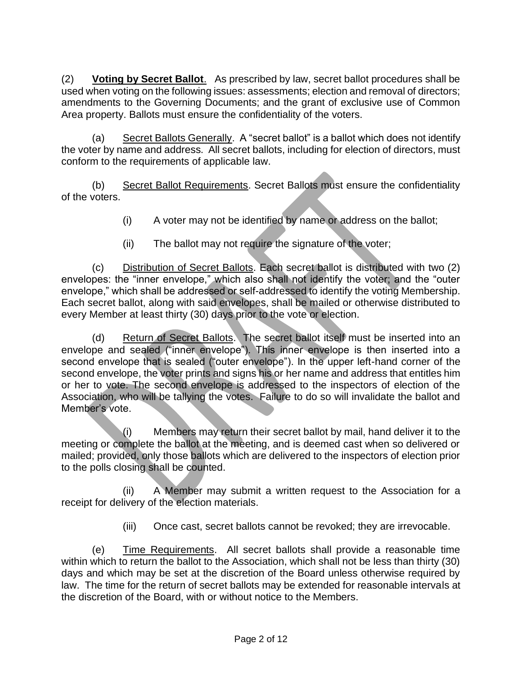(2) **Voting by Secret Ballot**. As prescribed by law, secret ballot procedures shall be used when voting on the following issues: assessments; election and removal of directors; amendments to the Governing Documents; and the grant of exclusive use of Common Area property. Ballots must ensure the confidentiality of the voters.

(a) Secret Ballots Generally. A "secret ballot" is a ballot which does not identify the voter by name and address. All secret ballots, including for election of directors, must conform to the requirements of applicable law.

(b) Secret Ballot Requirements. Secret Ballots must ensure the confidentiality of the voters.

- (i) A voter may not be identified by name or address on the ballot;
- (ii) The ballot may not require the signature of the voter;

(c) Distribution of Secret Ballots. Each secret ballot is distributed with two (2) envelopes: the "inner envelope," which also shall not identify the voter; and the "outer envelope," which shall be addressed or self-addressed to identify the voting Membership. Each secret ballot, along with said envelopes, shall be mailed or otherwise distributed to every Member at least thirty (30) days prior to the vote or election.

(d) Return of Secret Ballots. The secret ballot itself must be inserted into an envelope and sealed ("inner envelope"). This inner envelope is then inserted into a second envelope that is sealed ("outer envelope"). In the upper left-hand corner of the second envelope, the voter prints and signs his or her name and address that entitles him or her to vote. The second envelope is addressed to the inspectors of election of the Association, who will be tallying the votes. Failure to do so will invalidate the ballot and Member's vote.

(i) Members may return their secret ballot by mail, hand deliver it to the meeting or complete the ballot at the meeting, and is deemed cast when so delivered or mailed; provided, only those ballots which are delivered to the inspectors of election prior to the polls closing shall be counted.

(ii) A Member may submit a written request to the Association for a receipt for delivery of the election materials.

(iii) Once cast, secret ballots cannot be revoked; they are irrevocable.

(e) Time Requirements. All secret ballots shall provide a reasonable time within which to return the ballot to the Association, which shall not be less than thirty (30) days and which may be set at the discretion of the Board unless otherwise required by law. The time for the return of secret ballots may be extended for reasonable intervals at the discretion of the Board, with or without notice to the Members.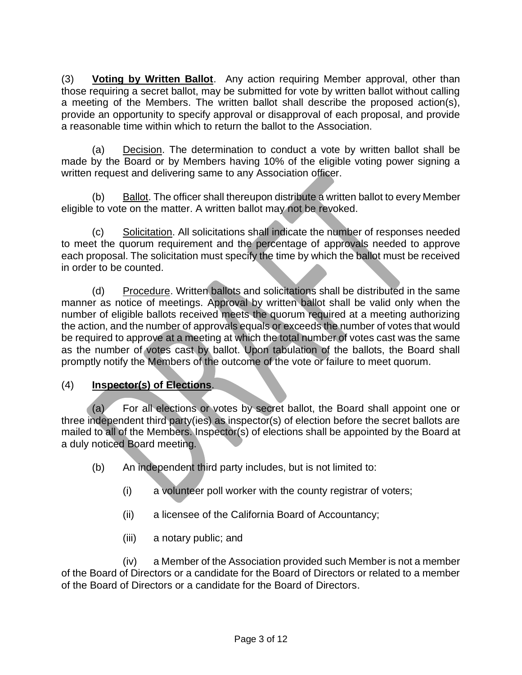(3) **Voting by Written Ballot**. Any action requiring Member approval, other than those requiring a secret ballot, may be submitted for vote by written ballot without calling a meeting of the Members. The written ballot shall describe the proposed action(s), provide an opportunity to specify approval or disapproval of each proposal, and provide a reasonable time within which to return the ballot to the Association.

(a) Decision. The determination to conduct a vote by written ballot shall be made by the Board or by Members having 10% of the eligible voting power signing a written request and delivering same to any Association officer.

(b) Ballot. The officer shall thereupon distribute a written ballot to every Member eligible to vote on the matter. A written ballot may not be revoked.

(c) Solicitation. All solicitations shall indicate the number of responses needed to meet the quorum requirement and the percentage of approvals needed to approve each proposal. The solicitation must specify the time by which the ballot must be received in order to be counted.

(d) Procedure. Written ballots and solicitations shall be distributed in the same manner as notice of meetings. Approval by written ballot shall be valid only when the number of eligible ballots received meets the quorum required at a meeting authorizing the action, and the number of approvals equals or exceeds the number of votes that would be required to approve at a meeting at which the total number of votes cast was the same as the number of votes cast by ballot. Upon tabulation of the ballots, the Board shall promptly notify the Members of the outcome of the vote or failure to meet quorum.

# (4) **Inspector(s) of Elections**.

(a) For all elections or votes by secret ballot, the Board shall appoint one or three independent third party(ies) as inspector(s) of election before the secret ballots are mailed to all of the Members. Inspector(s) of elections shall be appointed by the Board at a duly noticed Board meeting.

- (b) An independent third party includes, but is not limited to:
	- (i) a volunteer poll worker with the county registrar of voters;
	- (ii) a licensee of the California Board of Accountancy;
	- (iii) a notary public; and

(iv) a Member of the Association provided such Member is not a member of the Board of Directors or a candidate for the Board of Directors or related to a member of the Board of Directors or a candidate for the Board of Directors.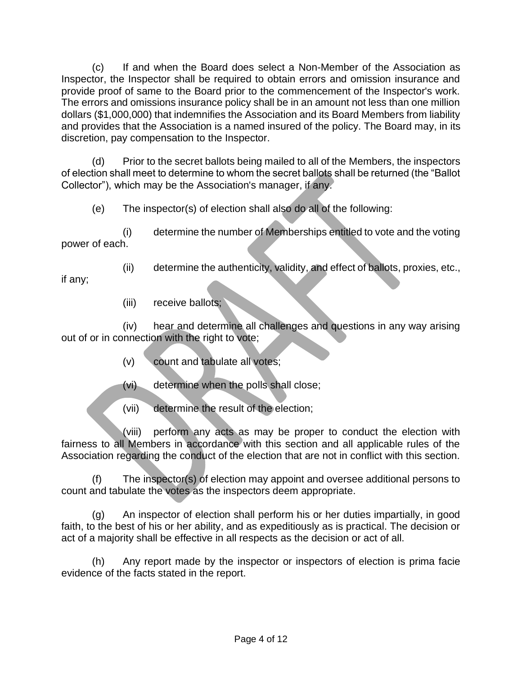(c) If and when the Board does select a Non-Member of the Association as Inspector, the Inspector shall be required to obtain errors and omission insurance and provide proof of same to the Board prior to the commencement of the Inspector's work. The errors and omissions insurance policy shall be in an amount not less than one million dollars (\$1,000,000) that indemnifies the Association and its Board Members from liability and provides that the Association is a named insured of the policy. The Board may, in its discretion, pay compensation to the Inspector.

(d) Prior to the secret ballots being mailed to all of the Members, the inspectors of election shall meet to determine to whom the secret ballots shall be returned (the "Ballot Collector"), which may be the Association's manager, if any.

(e) The inspector(s) of election shall also do all of the following:

(i) determine the number of Memberships entitled to vote and the voting power of each.

(ii) determine the authenticity, validity, and effect of ballots, proxies, etc.,

if any;

(iii) receive ballots;

(iv) hear and determine all challenges and questions in any way arising out of or in connection with the right to vote;

- (v) count and tabulate all votes;
- (vi) determine when the polls shall close;
- (vii) determine the result of the election;

(viii) perform any acts as may be proper to conduct the election with fairness to all Members in accordance with this section and all applicable rules of the Association regarding the conduct of the election that are not in conflict with this section.

(f) The inspector(s) of election may appoint and oversee additional persons to count and tabulate the votes as the inspectors deem appropriate.

(g) An inspector of election shall perform his or her duties impartially, in good faith, to the best of his or her ability, and as expeditiously as is practical. The decision or act of a majority shall be effective in all respects as the decision or act of all.

(h) Any report made by the inspector or inspectors of election is prima facie evidence of the facts stated in the report.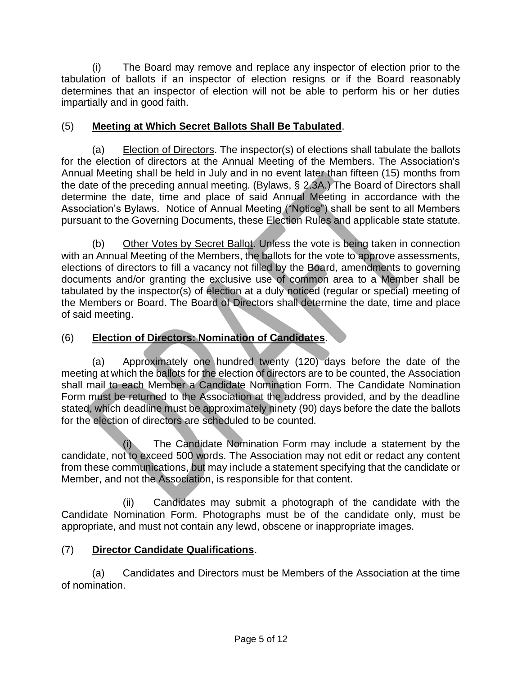(i) The Board may remove and replace any inspector of election prior to the tabulation of ballots if an inspector of election resigns or if the Board reasonably determines that an inspector of election will not be able to perform his or her duties impartially and in good faith.

# (5) **Meeting at Which Secret Ballots Shall Be Tabulated**.

(a) Election of Directors. The inspector(s) of elections shall tabulate the ballots for the election of directors at the Annual Meeting of the Members. The Association's Annual Meeting shall be held in July and in no event later than fifteen (15) months from the date of the preceding annual meeting. (Bylaws, § 2.3A.) The Board of Directors shall determine the date, time and place of said Annual Meeting in accordance with the Association's Bylaws. Notice of Annual Meeting ("Notice") shall be sent to all Members pursuant to the Governing Documents, these Election Rules and applicable state statute.

(b) Other Votes by Secret Ballot. Unless the vote is being taken in connection with an Annual Meeting of the Members, the ballots for the vote to approve assessments, elections of directors to fill a vacancy not filled by the Board, amendments to governing documents and/or granting the exclusive use of common area to a Member shall be tabulated by the inspector(s) of election at a duly noticed (regular or special) meeting of the Members or Board. The Board of Directors shall determine the date, time and place of said meeting.

# (6) **Election of Directors: Nomination of Candidates**.

(a) Approximately one hundred twenty (120) days before the date of the meeting at which the ballots for the election of directors are to be counted, the Association shall mail to each Member a Candidate Nomination Form. The Candidate Nomination Form must be returned to the Association at the address provided, and by the deadline stated, which deadline must be approximately ninety (90) days before the date the ballots for the election of directors are scheduled to be counted.

(i) The Candidate Nomination Form may include a statement by the candidate, not to exceed 500 words. The Association may not edit or redact any content from these communications, but may include a statement specifying that the candidate or Member, and not the Association, is responsible for that content.

(ii) Candidates may submit a photograph of the candidate with the Candidate Nomination Form. Photographs must be of the candidate only, must be appropriate, and must not contain any lewd, obscene or inappropriate images.

#### (7) **Director Candidate Qualifications**.

(a) Candidates and Directors must be Members of the Association at the time of nomination.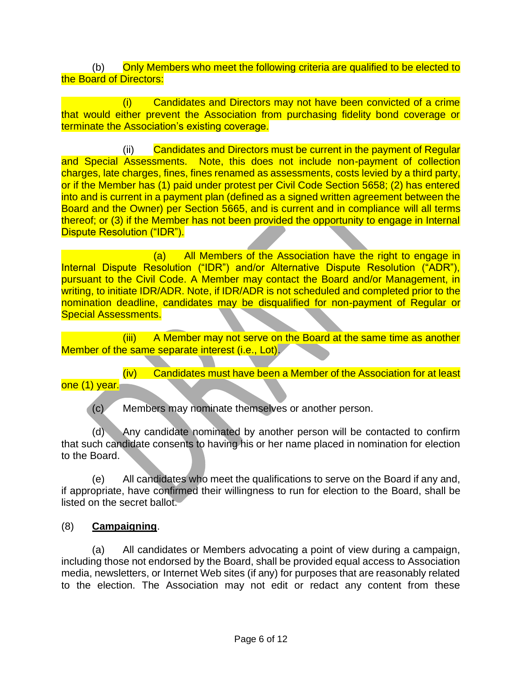(b) Only Members who meet the following criteria are qualified to be elected to the Board of Directors:

(i) Candidates and Directors may not have been convicted of a crime that would either prevent the Association from purchasing fidelity bond coverage or terminate the Association's existing coverage.

(ii) Candidates and Directors must be current in the payment of Regular and Special Assessments. Note, this does not include non-payment of collection charges, late charges, fines, fines renamed as assessments, costs levied by a third party, or if the Member has (1) paid under protest per Civil Code Section 5658; (2) has entered into and is current in a payment plan (defined as a signed written agreement between the Board and the Owner) per Section 5665, and is current and in compliance will all terms thereof; or (3) if the Member has not been provided the opportunity to engage in Internal Dispute Resolution ("IDR").

(a) All Members of the Association have the right to engage in Internal Dispute Resolution ("IDR") and/or Alternative Dispute Resolution ("ADR"), pursuant to the Civil Code. A Member may contact the Board and/or Management, in writing, to initiate IDR/ADR. Note, if IDR/ADR is not scheduled and completed prior to the nomination deadline, candidates may be disqualified for non-payment of Regular or Special Assessments.

(iii) A Member may not serve on the Board at the same time as another Member of the same separate interest (i.e., Lot).

(iv) Candidates must have been a Member of the Association for at least one (1) year.

(c) Members may nominate themselves or another person.

(d) Any candidate nominated by another person will be contacted to confirm that such candidate consents to having his or her name placed in nomination for election to the Board.

(e) All candidates who meet the qualifications to serve on the Board if any and, if appropriate, have confirmed their willingness to run for election to the Board, shall be listed on the secret ballot.

#### (8) **Campaigning**.

(a) All candidates or Members advocating a point of view during a campaign, including those not endorsed by the Board, shall be provided equal access to Association media, newsletters, or Internet Web sites (if any) for purposes that are reasonably related to the election. The Association may not edit or redact any content from these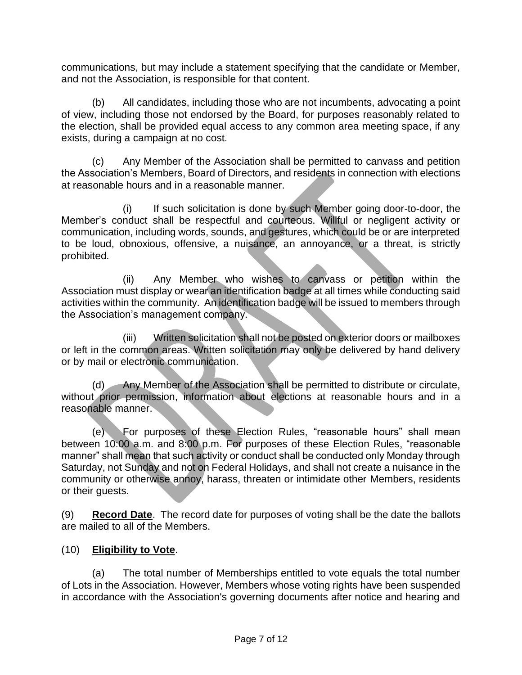communications, but may include a statement specifying that the candidate or Member, and not the Association, is responsible for that content.

(b) All candidates, including those who are not incumbents, advocating a point of view, including those not endorsed by the Board, for purposes reasonably related to the election, shall be provided equal access to any common area meeting space, if any exists, during a campaign at no cost.

(c) Any Member of the Association shall be permitted to canvass and petition the Association's Members, Board of Directors, and residents in connection with elections at reasonable hours and in a reasonable manner.

(i) If such solicitation is done by such Member going door-to-door, the Member's conduct shall be respectful and courteous. Willful or negligent activity or communication, including words, sounds, and gestures, which could be or are interpreted to be loud, obnoxious, offensive, a nuisance, an annoyance, or a threat, is strictly prohibited.

(ii) Any Member who wishes to canvass or petition within the Association must display or wear an identification badge at all times while conducting said activities within the community. An identification badge will be issued to members through the Association's management company.

(iii) Written solicitation shall not be posted on exterior doors or mailboxes or left in the common areas. Written solicitation may only be delivered by hand delivery or by mail or electronic communication.

(d) Any Member of the Association shall be permitted to distribute or circulate, without prior permission, information about elections at reasonable hours and in a reasonable manner.

(e) For purposes of these Election Rules, "reasonable hours" shall mean between 10:00 a.m. and 8:00 p.m. For purposes of these Election Rules, "reasonable manner" shall mean that such activity or conduct shall be conducted only Monday through Saturday, not Sunday and not on Federal Holidays, and shall not create a nuisance in the community or otherwise annoy, harass, threaten or intimidate other Members, residents or their guests.

(9) **Record Date**. The record date for purposes of voting shall be the date the ballots are mailed to all of the Members.

# (10) **Eligibility to Vote**.

(a) The total number of Memberships entitled to vote equals the total number of Lots in the Association. However, Members whose voting rights have been suspended in accordance with the Association's governing documents after notice and hearing and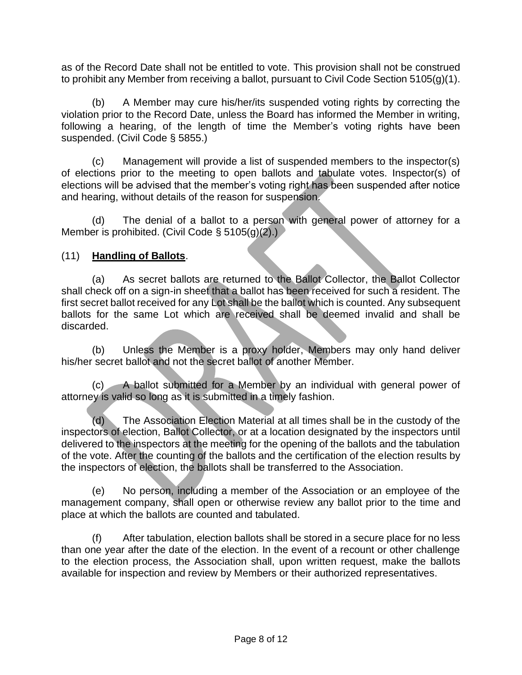as of the Record Date shall not be entitled to vote. This provision shall not be construed to prohibit any Member from receiving a ballot, pursuant to Civil Code Section 5105(g)(1).

(b) A Member may cure his/her/its suspended voting rights by correcting the violation prior to the Record Date, unless the Board has informed the Member in writing, following a hearing, of the length of time the Member's voting rights have been suspended. (Civil Code § 5855.)

(c) Management will provide a list of suspended members to the inspector(s) of elections prior to the meeting to open ballots and tabulate votes. Inspector(s) of elections will be advised that the member's voting right has been suspended after notice and hearing, without details of the reason for suspension.

(d) The denial of a ballot to a person with general power of attorney for a Member is prohibited. (Civil Code § 5105(g)(2).)

#### (11) **Handling of Ballots**.

(a) As secret ballots are returned to the Ballot Collector, the Ballot Collector shall check off on a sign-in sheet that a ballot has been received for such a resident. The first secret ballot received for any Lot shall be the ballot which is counted. Any subsequent ballots for the same Lot which are received shall be deemed invalid and shall be discarded.

(b) Unless the Member is a proxy holder, Members may only hand deliver his/her secret ballot and not the secret ballot of another Member.

(c) A ballot submitted for a Member by an individual with general power of attorney is valid so long as it is submitted in a timely fashion.

(d) The Association Election Material at all times shall be in the custody of the inspectors of election, Ballot Collector, or at a location designated by the inspectors until delivered to the inspectors at the meeting for the opening of the ballots and the tabulation of the vote. After the counting of the ballots and the certification of the election results by the inspectors of election, the ballots shall be transferred to the Association.

(e) No person, including a member of the Association or an employee of the management company, shall open or otherwise review any ballot prior to the time and place at which the ballots are counted and tabulated.

(f) After tabulation, election ballots shall be stored in a secure place for no less than one year after the date of the election. In the event of a recount or other challenge to the election process, the Association shall, upon written request, make the ballots available for inspection and review by Members or their authorized representatives.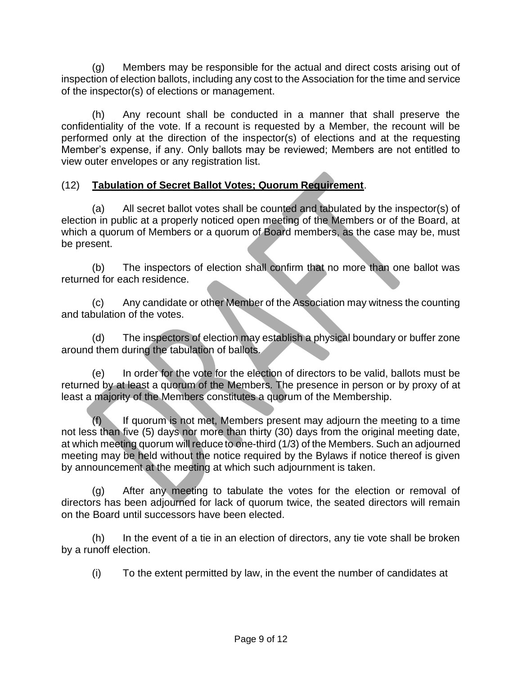(g) Members may be responsible for the actual and direct costs arising out of inspection of election ballots, including any cost to the Association for the time and service of the inspector(s) of elections or management.

(h) Any recount shall be conducted in a manner that shall preserve the confidentiality of the vote. If a recount is requested by a Member, the recount will be performed only at the direction of the inspector(s) of elections and at the requesting Member's expense, if any. Only ballots may be reviewed; Members are not entitled to view outer envelopes or any registration list.

# (12) **Tabulation of Secret Ballot Votes; Quorum Requirement**.

(a) All secret ballot votes shall be counted and tabulated by the inspector(s) of election in public at a properly noticed open meeting of the Members or of the Board, at which a quorum of Members or a quorum of Board members, as the case may be, must be present.

(b) The inspectors of election shall confirm that no more than one ballot was returned for each residence.

(c) Any candidate or other Member of the Association may witness the counting and tabulation of the votes.

(d) The inspectors of election may establish a physical boundary or buffer zone around them during the tabulation of ballots.

(e) In order for the vote for the election of directors to be valid, ballots must be returned by at least a quorum of the Members. The presence in person or by proxy of at least a majority of the Members constitutes a quorum of the Membership.

 $(f)$  If quorum is not met, Members present may adjourn the meeting to a time not less than five (5) days nor more than thirty (30) days from the original meeting date, at which meeting quorum will reduce to one-third (1/3) of the Members. Such an adjourned meeting may be held without the notice required by the Bylaws if notice thereof is given by announcement at the meeting at which such adjournment is taken.

(g) After any meeting to tabulate the votes for the election or removal of directors has been adjourned for lack of quorum twice, the seated directors will remain on the Board until successors have been elected.

(h) In the event of a tie in an election of directors, any tie vote shall be broken by a runoff election.

(i) To the extent permitted by law, in the event the number of candidates at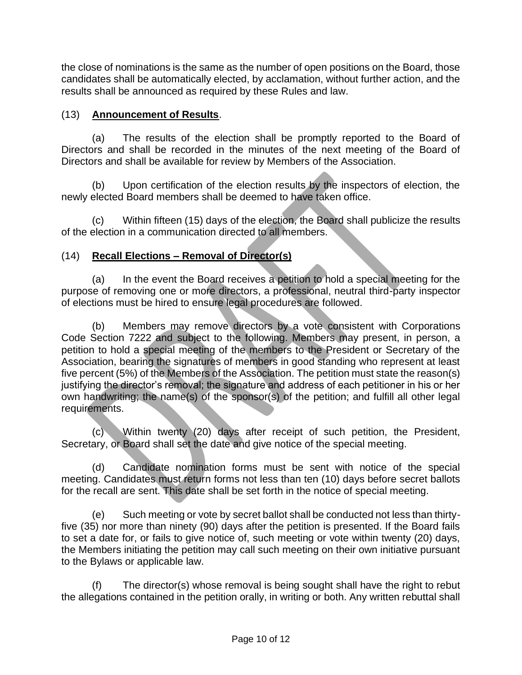the close of nominations is the same as the number of open positions on the Board, those candidates shall be automatically elected, by acclamation, without further action, and the results shall be announced as required by these Rules and law.

# (13) **Announcement of Results**.

(a) The results of the election shall be promptly reported to the Board of Directors and shall be recorded in the minutes of the next meeting of the Board of Directors and shall be available for review by Members of the Association.

(b) Upon certification of the election results by the inspectors of election, the newly elected Board members shall be deemed to have taken office.

(c) Within fifteen (15) days of the election, the Board shall publicize the results of the election in a communication directed to all members.

# (14) **Recall Elections – Removal of Director(s)**

(a) In the event the Board receives a petition to hold a special meeting for the purpose of removing one or more directors, a professional, neutral third-party inspector of elections must be hired to ensure legal procedures are followed.

(b) Members may remove directors by a vote consistent with Corporations Code Section 7222 and subject to the following. Members may present, in person, a petition to hold a special meeting of the members to the President or Secretary of the Association, bearing the signatures of members in good standing who represent at least five percent (5%) of the Members of the Association. The petition must state the reason(s) justifying the director's removal; the signature and address of each petitioner in his or her own handwriting; the name(s) of the sponsor(s) of the petition; and fulfill all other legal requirements.

(c) Within twenty (20) days after receipt of such petition, the President, Secretary, or Board shall set the date and give notice of the special meeting.

(d) Candidate nomination forms must be sent with notice of the special meeting. Candidates must return forms not less than ten (10) days before secret ballots for the recall are sent. This date shall be set forth in the notice of special meeting.

(e) Such meeting or vote by secret ballot shall be conducted not less than thirtyfive (35) nor more than ninety (90) days after the petition is presented. If the Board fails to set a date for, or fails to give notice of, such meeting or vote within twenty (20) days, the Members initiating the petition may call such meeting on their own initiative pursuant to the Bylaws or applicable law.

(f) The director(s) whose removal is being sought shall have the right to rebut the allegations contained in the petition orally, in writing or both. Any written rebuttal shall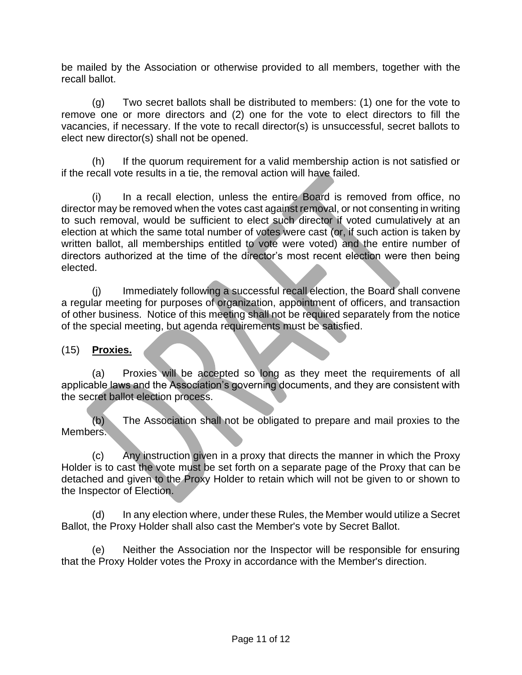be mailed by the Association or otherwise provided to all members, together with the recall ballot.

(g) Two secret ballots shall be distributed to members: (1) one for the vote to remove one or more directors and (2) one for the vote to elect directors to fill the vacancies, if necessary. If the vote to recall director(s) is unsuccessful, secret ballots to elect new director(s) shall not be opened.

(h) If the quorum requirement for a valid membership action is not satisfied or if the recall vote results in a tie, the removal action will have failed.

(i) In a recall election, unless the entire Board is removed from office, no director may be removed when the votes cast against removal, or not consenting in writing to such removal, would be sufficient to elect such director if voted cumulatively at an election at which the same total number of votes were cast (or, if such action is taken by written ballot, all memberships entitled to vote were voted) and the entire number of directors authorized at the time of the director's most recent election were then being elected.

(j) Immediately following a successful recall election, the Board shall convene a regular meeting for purposes of organization, appointment of officers, and transaction of other business. Notice of this meeting shall not be required separately from the notice of the special meeting, but agenda requirements must be satisfied.

#### (15) **Proxies.**

(a) Proxies will be accepted so long as they meet the requirements of all applicable laws and the Association's governing documents, and they are consistent with the secret ballot election process.

(b) The Association shall not be obligated to prepare and mail proxies to the Members.

(c) Any instruction given in a proxy that directs the manner in which the Proxy Holder is to cast the vote must be set forth on a separate page of the Proxy that can be detached and given to the Proxy Holder to retain which will not be given to or shown to the Inspector of Election.

(d) In any election where, under these Rules, the Member would utilize a Secret Ballot, the Proxy Holder shall also cast the Member's vote by Secret Ballot.

(e) Neither the Association nor the Inspector will be responsible for ensuring that the Proxy Holder votes the Proxy in accordance with the Member's direction.